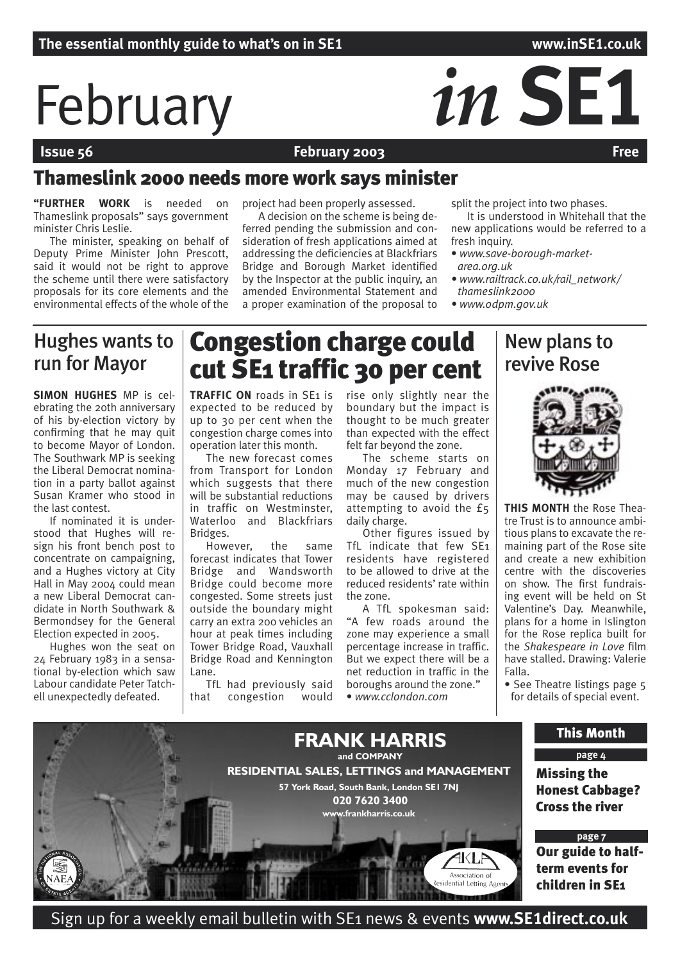# February *in* SE1

# **February 2003**

# Thameslink 2000 needs more work says minister

**"FURTHER WORK** is needed on Thameslink proposals" says government minister Chris Leslie.

The minister, speaking on behalf of Deputy Prime Minister John Prescott, said it would not be right to approve the scheme until there were satisfactory proposals for its core elements and the environmental effects of the whole of the

project had been properly assessed.

A decision on the scheme is being deferred pending the submission and consideration of fresh applications aimed at addressing the deficiencies at Blackfriars Bridge and Borough Market identified by the Inspector at the public inquiry, an amended Environmental Statement and a proper examination of the proposal to split the project into two phases.

It is understood in Whitehall that the new applications would be referred to a fresh inquiry.

New plans to

- *www.save-borough-marketarea.org.uk*
- *www.railtrack.co.uk/rail\_network/ thameslink2000*
- *www.odpm.gov.uk*

# Hughes wants to run for Mayor

**SIMON HUGHES** MP is celebrating the 20th anniversary of his by-election victory by confirming that he may quit to become Mayor of London. The Southwark MP is seeking the Liberal Democrat nomination in a party ballot against Susan Kramer who stood in the last contest.

If nominated it is understood that Hughes will resign his front bench post to concentrate on campaigning, and a Hughes victory at City Hall in May 2004 could mean a new Liberal Democrat candidate in North Southwark & Bermondsey for the General Election expected in 2005.

Hughes won the seat on 24 February 1983 in a sensational by-election which saw Labour candidate Peter Tatchell unexpectedly defeated.

# Congestion charge could cut SE1 traffic 30 per cent

**TRAFFIC ON** roads in SE<sub>1</sub> is expected to be reduced by up to 30 per cent when the congestion charge comes into operation later this month.

The new forecast comes from Transport for London which suggests that there will be substantial reductions in traffic on Westminster, Waterloo and Blackfriars Bridges.

However, the same forecast indicates that Tower Bridge and Wandsworth Bridge could become more congested. Some streets just outside the boundary might carry an extra 200 vehicles an hour at peak times including Tower Bridge Road, Vauxhall Bridge Road and Kennington Lane.

TfL had previously said that congestion would rise only slightly near the boundary but the impact is thought to be much greater than expected with the effect felt far beyond the zone.

The scheme starts on Monday 17 February and much of the new congestion may be caused by drivers attempting to avoid the £5 daily charge.

Other figures issued by TfL indicate that few SE1 residents have registered to be allowed to drive at the reduced residents' rate within the zone.

A TfL spokesman said: "A few roads around the zone may experience a small percentage increase in traffic. But we expect there will be a net reduction in traffic in the boroughs around the zone." • *www.cclondon.com*



**THIS MONTH** the Rose Theatre Trust is to announce ambitious plans to excavate the remaining part of the Rose site and create a new exhibition centre with the discoveries on show. The first fundraising event will be held on St Valentine's Day. Meanwhile, plans for a home in Islington for the Rose replica built for the *Shakespeare in Love* film have stalled. Drawing: Valerie Falla.

• See Theatre listings page 5 for details of special event.



Sign up for a weekly email bulletin with SE1 news & events **www.SE1direct.co.uk**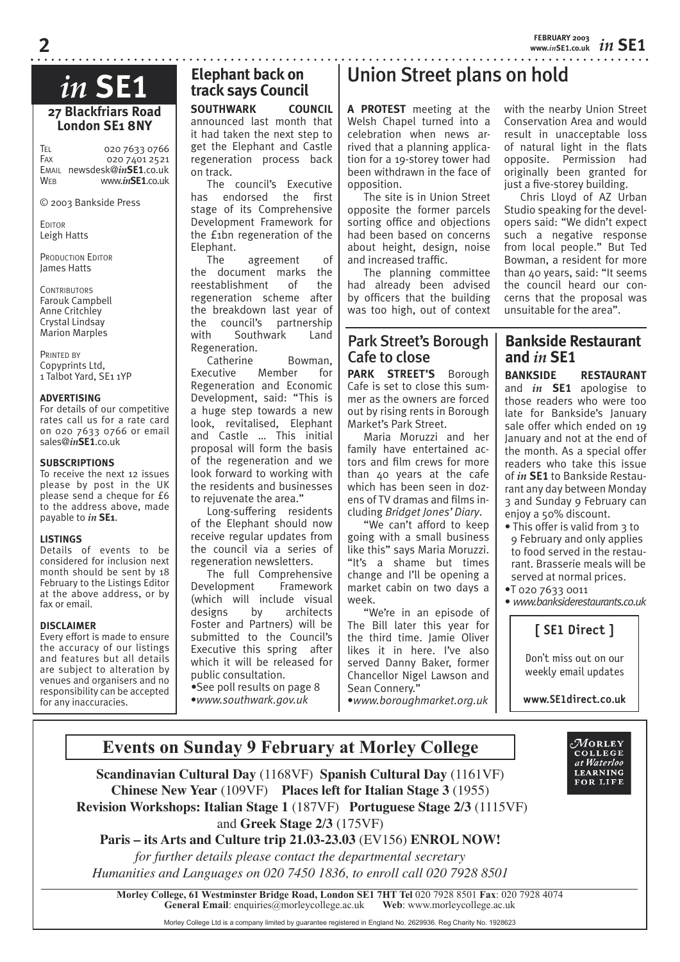with the nearby Union Street Conservation Area and would result in unacceptable loss of natural light in the flats opposite. Permission had originally been granted for just a five-storey building. Chris Lloyd of AZ Urban Studio speaking for the developers said: "We didn't expect

# *in* **SE1**

**27 Blackfriars Road London SE1 8NY**

TEL 020 7633 0766 FAX 020 7401 2521 EMAIL newsdesk@*in***SE1**.co.uk www.in**SE1.co.uk** 

© 2003 Bankside Press

EDITOR Leigh Hatts

PRODUCTION EDITOR James Hatts

**CONTRIBUTORS** Farouk Campbell Anne Critchley Crystal Lindsay Marion Marples

PRINTED BY Copyprints Ltd, 1 Talbot Yard, SE1 1YP

# **ADVERTISING**

For details of our competitive rates call us for a rate card on 020 7633 0766 or email sales@*in***SE1**.co.uk

# **SUBSCRIPTIONS**

To receive the next 12 issues please by post in the UK please send a cheque for £6 to the address above, made payable to *in* **SE1**.

# **LISTINGS**

Details of events to be considered for inclusion next month should be sent by 18 February to the Listings Editor at the above address, or by fax or email.

# **DISCLAIMER**

Every effort is made to ensure the accuracy of our listings and features but all details are subject to alteration by venues and organisers and no responsibility can be accepted for any inaccuracies.

# **Elephant back on track says Council**

**SOUTHWARK COUNCIL**  announced last month that it had taken the next step to get the Elephant and Castle regeneration process back on track.

The council's Executive has endorsed the first stage of its Comprehensive Development Framework for the £1bn regeneration of the Elephant.

The agreement of the document marks the reestablishment of the regeneration scheme after the breakdown last year of the council's partnership with Southwark Land Regeneration.

Catherine Bowman, Executive Member for Regeneration and Economic Development, said: "This is a huge step towards a new look, revitalised, Elephant and Castle … This initial proposal will form the basis of the regeneration and we look forward to working with the residents and businesses to rejuvenate the area."

Long-suffering residents of the Elephant should now receive regular updates from the council via a series of regeneration newsletters.

The full Comprehensive Development Framework (which will include visual designs by architects Foster and Partners) will be submitted to the Council's Executive this spring after which it will be released for public consultation.

*•*See poll results on page 8 •*www.southwark.gov.uk*

# Union Street plans on hold

**A PROTEST** meeting at the Welsh Chapel turned into a celebration when news arrived that a planning application for a 19-storey tower had been withdrawn in the face of opposition.

The site is in Union Street opposite the former parcels sorting office and objections had been based on concerns about height, design, noise and increased traffic.

The planning committee had already been advised by officers that the building was too high, out of context

# Park Street's Borough Cafe to close

PARK STREET'S Borough Cafe is set to close this summer as the owners are forced out by rising rents in Borough Market's Park Street.

Maria Moruzzi and her family have entertained actors and film crews for more than 40 years at the cafe which has been seen in dozens of TV dramas and films including *Bridget Jones' Diary*.

"We can't afford to keep going with a small business like this" says Maria Moruzzi. "It's a shame but times change and I'll be opening a market cabin on two days a week.

"We're in an episode of The Bill later this year for the third time. Jamie Oliver likes it in here. I've also served Danny Baker, former Chancellor Nigel Lawson and Sean Connery." •*www.boroughmarket.org.uk* such a negative response from local people." But Ted Bowman, a resident for more than 40 years, said: "It seems the council heard our con-

cerns that the proposal was unsuitable for the area".

# **Bankside Restaurant and** *in* **SE1**

**BANKSIDE RESTAURANT** and *in* **SE1** apologise to those readers who were too late for Bankside's January sale offer which ended on 19 January and not at the end of the month. As a special offer readers who take this issue of *in* **SE1** to Bankside Restaurant any day between Monday 3 and Sunday 9 February can enjoy a 50% discount.

- This offer is valid from 3 to 9 February and only applies to food served in the restaurant. Brasserie meals will be served at normal prices.
- •T 020 7633 0011

• *www.banksiderestaurants.co.uk*

# **[ SE1 Direct ]**

Don't miss out on our weekly email updates

**www.SE1direct.co.uk**



# **Events on Sunday 9 February at Morley College**

**Scandinavian Cultural Day** (1168VF) **Spanish Cultural Day** (1161VF) **Chinese New Year** (109VF) **Places left for Italian Stage 3** (1955)  **Revision Workshops: Italian Stage 1** (187VF) **Portuguese Stage 2/3** (1115VF) and **Greek Stage 2/3** (175VF)

**Paris – its Arts and Culture trip 21.03-23.03** (EV156) **ENROL NOW!** *for further details please contact the departmental secretary Humanities and Languages on 020 7450 1836, to enroll call 020 7928 8501*

**Morley College, 61 Westminster Bridge Road, London SE1 7HT Tel** 020 7928 8501 **Fax**: 020 7928 4074 **General Email**: enquiries@morleycollege.ac.uk

Morley College Ltd is a company limited by guarantee registered in England No. 2629936. Reg Charity No. 1928623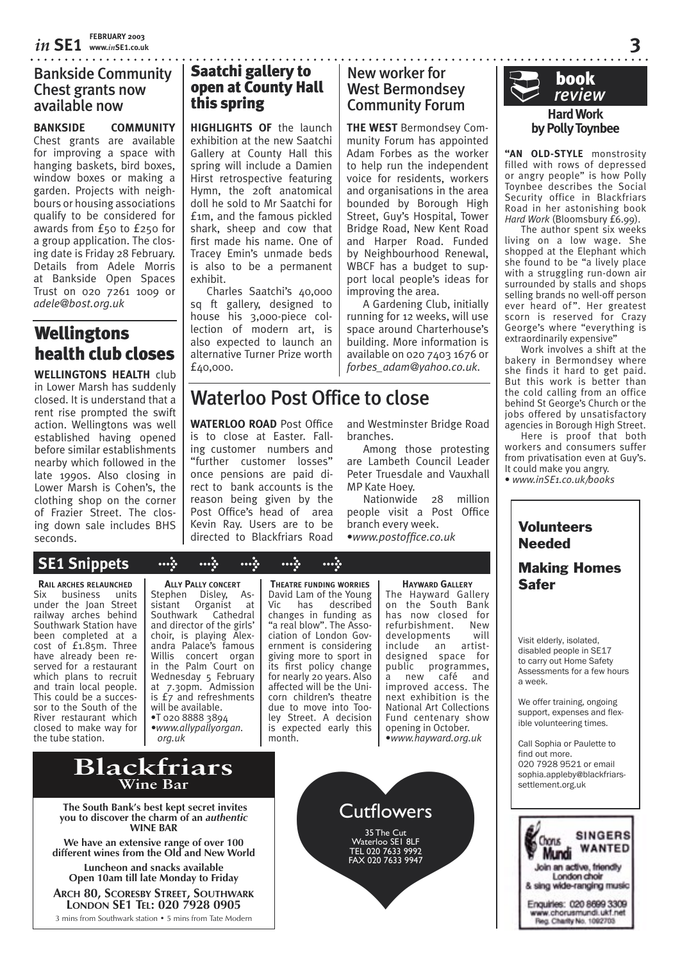# Bankside Community Chest grants now available now

**BANKSIDE COMMUNITY** Chest grants are available for improving a space with hanging baskets, bird boxes, window boxes or making a garden. Projects with neighbours or housing associations qualify to be considered for awards from £50 to £250 for a group application. The closing date is Friday 28 February. Details from Adele Morris at Bankside Open Spaces Trust on 020 7261 1009 or *adele@bost.org.uk*

# **Wellingtons** health club closes

**WELLINGTONS HEALTH** club in Lower Marsh has suddenly closed. It is understand that a rent rise prompted the swift action. Wellingtons was well established having opened before similar establishments nearby which followed in the late 1990s. Also closing in Lower Marsh is Cohen's, the clothing shop on the corner of Frazier Street. The closing down sale includes BHS seconds.

# Saatchi gallery to open at County Hall this spring

**HIGHLIGHTS OF** the launch exhibition at the new Saatchi Gallery at County Hall this spring will include a Damien Hirst retrospective featuring Hymn, the 20ft anatomical doll he sold to Mr Saatchi for £1m, and the famous pickled shark, sheep and cow that first made his name. One of Tracey Emin's unmade beds is also to be a permanent exhibit.

Charles Saatchi's 40,000 sq ft gallery, designed to house his 3,000-piece collection of modern art, is also expected to launch an alternative Turner Prize worth £40,000.

# New worker for West Bermondsey Community Forum

**THE WEST** Bermondsey Community Forum has appointed Adam Forbes as the worker to help run the independent voice for residents, workers and organisations in the area bounded by Borough High Street, Guy's Hospital, Tower Bridge Road, New Kent Road and Harper Road. Funded by Neighbourhood Renewal, WBCF has a budget to support local people's ideas for improving the area.

A Gardening Club, initially running for 12 weeks, will use space around Charterhouse's building. More information is available on 020 7403 1676 or *forbes\_adam@yahoo.co.uk.*

# Waterloo Post Office to close

**WATERLOO ROAD** Post Office is to close at Easter. Falling customer numbers and "further customer losses" once pensions are paid direct to bank accounts is the reason being given by the Post Office's head of area Kevin Ray. Users are to be directed to Blackfriars Road

and Westminster Bridge Road branches.

Among those protesting are Lambeth Council Leader Peter Truesdale and Vauxhall MP Kate Hoey.

Nationwide 28 million people visit a Post Office branch every week.

•*www.postoffice.co.uk*

# **Hard Work by Polly Toynbee** book ¨ *review*

. . . . . . . . . . . . . . . .

**"AN OLD-STYLE** monstrosity filled with rows of depressed or angry people" is how Polly Toynbee describes the Social Security office in Blackfriars Road in her astonishing book *Hard Work* (Bloomsbury £6.99).

The author spent six weeks living on a low wage. She shopped at the Elephant which she found to be "a lively place with a struggling run-down air surrounded by stalls and shops selling brands no well-off person ever heard of". Her greatest scorn is reserved for Crazy George's where "everything is extraordinarily expensive'

Work involves a shift at the bakery in Bermondsey where she finds it hard to get paid. But this work is better than the cold calling from an office behind St George's Church or the jobs offered by unsatisfactory agencies in Borough High Street.

Here is proof that both workers and consumers suffer from privatisation even at Guy's. It could make you angry. • *www.inSE1.co.uk/books*

# **Volunteers** Needed

# Making Homes Safer

Visit elderly, isolated, disabled people in SE17 to carry out Home Safety Assessments for a few hours a week.

We offer training, ongoing support, expenses and flexible volunteering times.

Call Sophia or Paulette to find out more. 020 7928 9521 or email sophia.appleby@blackfriars-



# **SE1 Snippets > > > > >**

**RAIL ARCHES RELAUNCHED**  $Six$  business under the Joan Street railway arches behind Southwark Station have been completed at a cost of £1.85m. Three have already been reserved for a restaurant which plans to recruit and train local people. This could be a successor to the South of the River restaurant which closed to make way for the tube station.

**ALLY PALLY CONCERT** Stephen Disley, As-<br>sistant Organist at Organist at<br>rk Cathedral Southwark and director of the girls' choir, is playing Alexandra Palace's famous Willis concert organ in the Palm Court on Wednesday 5 February at 7.30pm. Admission is £7 and refreshments will be available. •T 020 8888 3894 *•www.allypallyorgan. org.uk*

**THEATRE FUNDING WORRIES** David Lam of the Young<br>Vic has described Vic has changes in funding as<br>"a real blow". The Association of London Government is considering giving more to sport in its first policy change for nearly 20 years. Also affected will be the Unicorn children's theatre due to move into Tooley Street. A decision is expected early this month.

**HAYWARD GALLERY** The Hayward Gallery on the South Bank has now closed for<br>refurbishment New refurbishment. New<br>developments will developments include an artistdesigned space for public programmes, a new café and improved access. The next exhibition is the National Art Collections Fund centenary show opening in October. •*www.hayward.org.uk*

# **Blackfriars Wine Bar**

 **The South Bank's best kept secret invites you to discover the charm of an** *authentic* **WINE BAR**

**We have an extensive range of over 100 different wines from the Old and New World**

**Luncheon and snacks available Open 10am till late Monday to Friday**

**ARCH 80, SCORESBY STREET, SOUTHWARK LONDON SE1 TEL: 020 7928 0905**

3 mins from Southwark station • 5 mins from Tate Modern

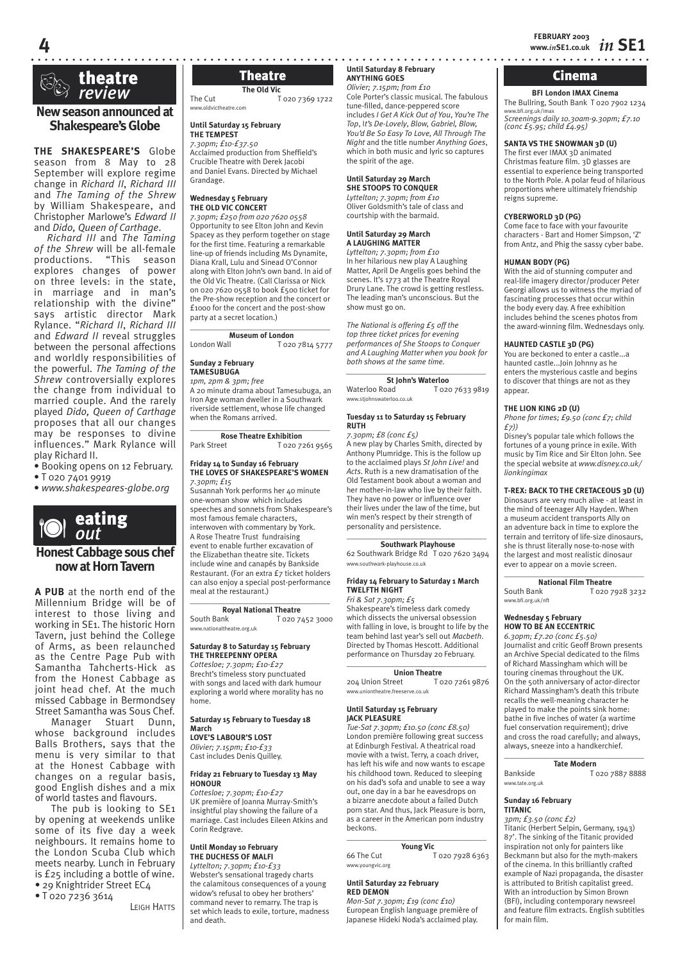

# theatre ® *review*

# **New season announced at Shakespeare's Globe**

**THE SHAKESPEARE'S** Globe season from 8 May to 28 September will explore regime change in *Richard II*, *Richard III*  and *The Taming of the Shrew* by William Shakespeare, and Christopher Marlowe's *Edward II* and *Dido, Queen of Carthage*.

*Richard III* and *The Taming of the Shrew* will be all-female productions. "This season explores changes of power on three levels: in the state, in marriage and in man's relationship with the divine" says artistic director Mark Rylance. "*Richard II*, *Richard III*  and *Edward II* reveal struggles between the personal affections and worldly responsibilities of the powerful. *The Taming of the Shrew* controversially explores the change from individual to married couple. And the rarely played *Dido, Queen of Carthage*  proposes that all our changes may be responses to divine influences." Mark Rylance will play Richard II.

- Booking opens on 12 February.
- T 020 7401 9919

• *www.shakespeares-globe.org*



# **Honest Cabbage sous chef now at Horn Tavern**

**A PUB** at the north end of the Millennium Bridge will be of interest to those living and working in SE1. The historic Horn Tavern, just behind the College of Arms, as been relaunched as the Centre Page Pub with Samantha Tahcherts-Hick as from the Honest Cabbage as joint head chef. At the much missed Cabbage in Bermondsey Street Samantha was Sous Chef.

Manager Stuart Dunn, whose background includes Balls Brothers, says that the menu is very similar to that at the Honest Cabbage with changes on a regular basis, good English dishes and a mix of world tastes and flavours.

The pub is looking to SE1 by opening at weekends unlike some of its five day a week neighbours. It remains home to the London Scuba Club which meets nearby. Lunch in February is £25 including a bottle of wine. • 29 Knightrider Street EC4

• T 020 7236 3614

LEIGH HATTS

# **The Old Vic**

The Cut T 020 7369 1722 www.oldvictheatre.com

**Until Saturday 15 February THE TEMPEST**

*7.30pm; £10-£37.50* Acclaimed production from Sheffield's Crucible Theatre with Derek Jacobi and Daniel Evans. Directed by Michael Grandage.

## **Wednesday 5 February THE OLD VIC CONCERT**

*7.30pm; £250 from 020 7620 0558* Opportunity to see Elton John and Kevin Spacey as they perform together on stage for the first time. Featuring a remarkable line-up of friends including Ms Dynamite, Diana Krall, Lulu and Sinead O'Connor along with Elton John's own band. In aid of the Old Vic Theatre. (Call Clarissa or Nick on 020 7620 0558 to book £500 ticket for the Pre-show reception and the concert or £1000 for the concert and the post-show party at a secret location.)

## \_\_\_\_\_\_\_\_\_\_\_\_\_\_\_\_\_\_\_\_\_\_\_\_\_\_\_\_\_\_\_\_\_\_\_ **Museum of London**

London Wall T 020 7814 5777

**Sunday 2 February TAMESUBUGA**

*1pm, 2pm & 3pm; free*

A 20 minute drama about Tamesubuga, an Iron Age woman dweller in a Southwark riverside settlement, whose life changed when the Romans arrived.

### \_\_\_\_\_\_\_\_\_\_\_\_\_\_\_\_\_\_\_\_\_\_\_\_\_\_\_\_\_\_\_\_\_\_\_ **Rose Theatre Exhibition**<br>Park Street T 020 7 T 020 7261 9565

# **Friday 14 to Sunday 16 February THE LOVES OF SHAKESPEARE'S WOMEN**

*7.30pm; £15* Susannah York performs her 40 minute one-woman show which includes speeches and sonnets from Shakespeare's most famous female characters, interwoven with commentary by York. A Rose Theatre Trust fundraising event to enable further excavation of the Elizabethan theatre site. Tickets include wine and canapés by Bankside Restaurant. (For an extra £7 ticket holders can also enjoy a special post-performance meal at the restaurant.)

# \_\_\_\_\_\_\_\_\_\_\_\_\_\_\_\_\_\_\_\_\_\_\_\_\_\_\_\_\_\_\_\_\_\_\_ **Royal National Theatre**<br> **Royal National Tozo 7**

T 020 7452 3000 www.nationaltheatre.org.uk

### **Saturday 8 to Saturday 15 February THE THREEPENNY OPERA**

*Cottesloe; 7.30pm; £10-£27* Brecht's timeless story punctuated with songs and laced with dark humour exploring a world where morality has no home.

### **Saturday 15 February to Tuesday 18 March**

**LOVE'S LABOUR'S LOST** *Olivier; 7.15pm; £10-£33* Cast includes Denis Quilley.

# **Friday 21 February to Tuesday 13 May HONOUR**

*Cottesloe; 7.30pm; £10-£27* UK première of Joanna Murray-Smith's insightful play showing the failure of a marriage. Cast includes Eileen Atkins and Corin Redgrave.

### **Until Monday 10 February THE DUCHESS OF MALFI**

*Lyttelton; 7.30pm; £10-£33* Webster's sensational tragedy charts the calamitous consequences of a young widow's refusal to obey her brothers' command never to remarry. The trap is set which leads to exile, torture, madness and death.

**Until Saturday 8 February ANYTHING GOES** Theatre **ANYTHING GOES Cinema** 

> *Olivier; 7.15pm; from £10* Cole Porter's classic musical. The fabulous tune-filled, dance-peppered score

> includes *I Get A Kick Out of You*, *You're The Top*, I*t's De-Lovely*, *Blow, Gabriel, Blow, You'd Be So Easy To Love, All Through The Night* and the title number *Anything Goes*, which in both music and lyric so captures the spirit of the age.

# **Until Saturday 29 March**

**SHE STOOPS TO CONQUER** *Lyttelton; 7.30pm; from £10* Oliver Goldsmith's tale of class and courtship with the barmaid.

# **Until Saturday 29 March A LAUGHING MATTER**

*Lyttelton; 7.30pm; from £10* In her hilarious new play A Laughing Matter, April De Angelis goes behind the scenes. It's 1773 at the Theatre Royal Drury Lane. The crowd is getting restless. The leading man's unconscious. But the show must go on.

*The National is offering £5 off the top three ticket prices for evening performances of She Stoops to Conquer and A Laughing Matter when you book for both shows at the same time.*

*\_\_\_\_\_\_\_\_\_\_\_\_\_\_\_\_\_\_\_\_\_\_\_\_\_\_\_\_\_\_\_\_\_\_\_*  **St John's Waterloo** Waterloo Road T 020 7633 9819 www.stiohnswaterloo.co.uk

# **Tuesday 11 to Saturday 15 February RUTH**

*7.30pm; £8 (conc £5)*

A new play by Charles Smith, directed by Anthony Plumridge. This is the follow up to the acclaimed plays *St John Live!* and *Acts*. Ruth is a new dramatisation of the Old Testament book about a woman and her mother-in-law who live by their faith. They have no power or influence over their lives under the law of the time, but win men's respect by their strength of personality and persistence.  $\_$ 

# **Southwark Playhouse**

62 Southwark Bridge Rd T 020 7620 3494 w southwark-playhouse.co.uk

# **Friday 14 February to Saturday 1 March TWELFTH NIGHT**

*Fri & Sat 7.30pm; £5*

Shakespeare's timeless dark comedy which dissects the universal obsession with falling in love, is brought to life by the team behind last year's sell out *Macbeth*. Directed by Thomas Hescott. Additional performance on Thursday 20 February.

# $\_$

**Union Theatre**<br>reet T 020 7261 9876 204 Union Street www.uniontheatre.freeserve.co.uk

# **Until Saturday 15 February JACK PLEASURE**

*Tue-Sat 7.30pm; £10.50 (conc £8.50)* London première following great success at Edinburgh Festival. A theatrical road movie with a twist. Terry, a coach driver, has left his wife and now wants to escape his childhood town. Reduced to sleeping on his dad's sofa and unable to see a way out, one day in a bar he eavesdrops on a bizarre anecdote about a failed Dutch porn star. And thus, Jack Pleasure is born, as a career in the American porn industry beckons.

## $\_$ **Young Vic** 66 The Cut T 020 7928 6363

www.youngvic.org

# **Until Saturday 22 February RED DEMON**

*Mon-Sat 7.30pm; £19 (conc £10)* European English language première of Japanese Hideki Noda's acclaimed play.

**BFI London IMAX Cinema** The Bullring, South Bank T 020 7902 1234 www.bfi.org.uk/imax *Screenings daily 10.30am-9.30pm; £7.10 (conc £5.95; child £4.95)*

# **SANTA VS THE SNOWMAN 3D (U)**

The first ever IMAX 3D animated Christmas feature film. 3D glasses are essential to experience being transported to the North Pole. A polar feud of hilarious proportions where ultimately friendship reigns supreme.

# **CYBERWORLD 3D (PG)**

Come face to face with your favourite characters - Bart and Homer Simpson, 'Z' from Antz, and Phig the sassy cyber babe.

# **HUMAN BODY (PG)**

With the aid of stunning computer and real-life imagery director/producer Peter Georgi allows us to witness the myriad of fascinating processes that occur within the body every day. A free exhibition includes behind the scenes photos from the award-winning film. Wednesdays only.

# **HAUNTED CASTLE 3D (PG)**

You are beckoned to enter a castle...a haunted castle...Join Johnny as he enters the mysterious castle and begins to discover that things are not as they appear.

# **THE LION KING 2D (U)**

*Phone for times; £9.50 (conc £7; child £7))*

Disney's popular tale which follows the fortunes of a young prince in exile. With music by Tim Rice and Sir Elton John. See the special website at *www.disney.co.uk/ lionkingimax*

# **T-REX: BACK TO THE CRETACEOUS 3D (U)**

Dinosaurs are very much alive - at least in the mind of teenager Ally Hayden. When a museum accident transports Ally on an adventure back in time to explore the terrain and territory of life-size dinosaurs, she is thrust literally nose-to-nose with the largest and most realistic dinosaur ever to appear on a movie screen.

\_\_\_\_\_\_\_\_\_\_\_\_\_\_\_\_\_\_\_\_\_\_\_\_\_\_\_\_\_\_\_\_\_\_\_ **National Film Theatre**<br>5 April Bank **T** T 020 7928 3232 www.bfi.org.uk/nft

# **Wednesday 5 February HOW TO BE AN ECCENTRIC**

*6.30pm; £7.20 (conc £5.50)* Journalist and critic Geoff Brown presents an Archive Special dedicated to the films of Richard Massingham which will be touring cinemas throughout the UK. On the 50th anniversary of actor-director Richard Massingham's death this tribute recalls the well-meaning character he played to make the points sink home: bathe in five inches of water (a wartime fuel conservation requirement); drive and cross the road carefully; and always, always, sneeze into a handkerchief.

 $\_$ **Tate Modern**

Bankside T 020 7887 8888 www.tate.org.uk

# **Sunday 16 February TITANIC**

*3pm; £3.50 (conc £2)* Titanic (Herbert Selpin, Germany, 1943) 87'. The sinking of the Titanic provided inspiration not only for painters like Beckmann but also for the myth-makers of the cinema. In this brilliantly crafted example of Nazi propaganda, the disaster is attributed to British capitalist greed. With an introduction by Simon Brown (BFI), including contemporary newsreel and feature film extracts. English subtitles for main film.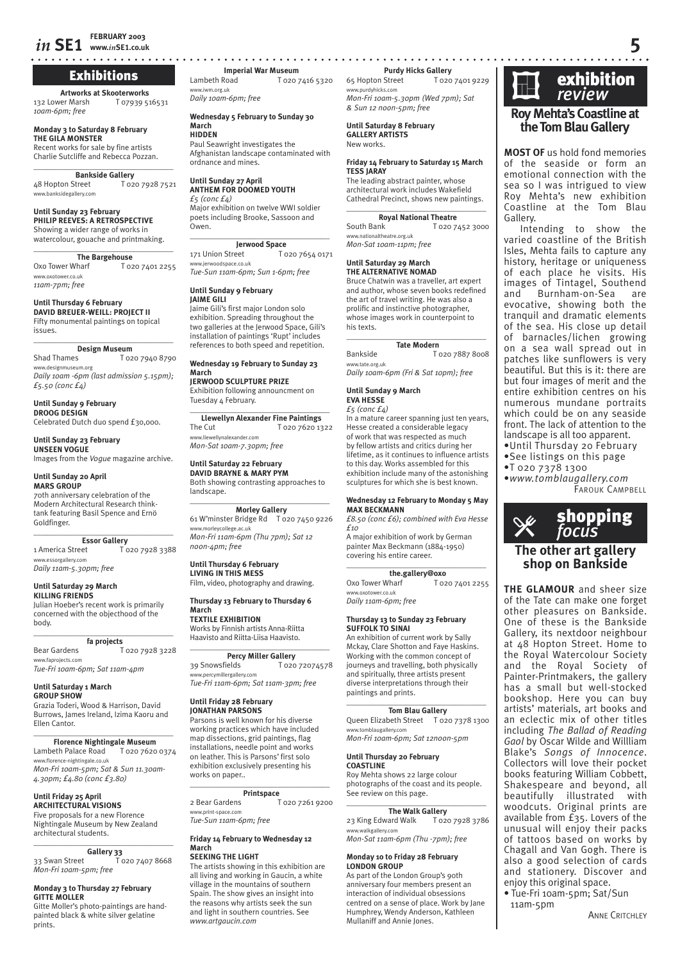# Exhibitions

**Artworks at Skooterworks** 132 Lower Marsh T 07939 516531 *10am-6pm; free*

**Monday 3 to Saturday 8 February THE GILA MONSTER** Recent works for sale by fine artists

Charlie Sutcliffe and Rebecca Pozzan.  $\overline{\phantom{a}}$  , where  $\overline{\phantom{a}}$  , where  $\overline{\phantom{a}}$  , where  $\overline{\phantom{a}}$ 

**Bankside Gallery**<br>Street T020 7928 7521 48 Hopton Street www.banksidegallery.com

**Until Sunday 23 February PHILIP REEVES: A RETROSPECTIVE** Showing a wider range of works in watercolour, gouache and printmaking.

 $\overline{\phantom{a}}$  , where  $\overline{\phantom{a}}$  , where  $\overline{\phantom{a}}$  , where  $\overline{\phantom{a}}$ The Bargehouse<br>
To<sub>20</sub> 7401 2255 Oxo Tower Wharf www.oxotower.co.uk *11am-7pm; free*

**Until Thursday 6 February DAVID BREUER-WEILL: PROJECT II** Fifty monumental paintings on topical issues. \_\_\_\_\_\_\_\_\_\_\_\_\_\_\_\_\_\_\_\_\_\_\_\_\_\_\_\_\_\_\_\_\_\_\_

**Design Museum**<br>Shad Thames To<sub>2</sub>

T 020 7940 8790 www.designmuseum.org *Daily 10am -6pm (last admission 5.15pm); £5.50 (conc £4)*

# **Until Sunday 9 February DROOG DESIGN**

Celebrated Dutch duo spend £30,000.

**Until Sunday 23 February UNSEEN VOGUE** Images from the *Vogue* magazine archive.

# **Until Sunday 20 April**

**MARS GROUP** 70th anniversary celebration of the Modern Architectural Research thinktank featuring Basil Spence and Ernö Goldfinger.

\_\_\_\_\_\_\_\_\_\_\_\_\_\_\_\_\_\_\_\_\_\_\_\_\_\_\_\_\_\_\_\_\_\_\_ **Essor Gallery**<br>t America Street 1 America Street T 020 7928 3388 www.essorgallery.com

*Daily 11am-5.30pm; free*

## **Until Saturday 29 March KILLING FRIENDS**

Julian Hoeber's recent work is primarily concerned with the objecthood of the body. \_\_\_\_\_\_\_\_\_\_\_\_\_\_\_\_\_\_\_\_\_\_\_\_\_\_\_\_\_\_\_\_\_\_\_

**fa projects** Bear Gardens T 020 7928 3228 www.faprojects.com *Tue-Fri 10am-6pm; Sat 11am-4pm*

### **Until Saturday 1 March GROUP SHOW**

Grazia Toderi, Wood & Harrison, David Burrows, James Ireland, Izima Kaoru and Ellen Cantor.

### $\overline{\phantom{a}}$  , where  $\overline{\phantom{a}}$  , where  $\overline{\phantom{a}}$  , where  $\overline{\phantom{a}}$ **Florence Nightingale Museum** Lambeth Palace Road T 020 7620 0374

www.florence-nightingale.co.uk *Mon-Fri 10am-5pm; Sat & Sun 11.30am-4.30pm; £4.80 (conc £3.80)* 

# **Until Friday 25 April**

**ARCHITECTURAL VISIONS** Five proposals for a new Florence Nightingale Museum by New Zealand architectural students.

# $\overline{\phantom{a}}$  , where  $\overline{\phantom{a}}$  , where  $\overline{\phantom{a}}$  , where  $\overline{\phantom{a}}$

**Gallery 33**<br>1020 7407 8668 33 Swan Street *Mon-Fri 10am-5pm; free*

# **Monday 3 to Thursday 27 February GITTE MOLLER**

Gitte Moller's photo-paintings are handpainted black & white silver gelatine prints.

**www.***in***SE1.co.uk 5 Imperial War Museum**<br>
Lambeth Road **T** 020 T 020 7416 5320

w.iwm.org.uk *Daily 10am-6pm; free* 

### **Wednesday 5 February to Sunday 30 March HIDDEN**

Paul Seawright investigates the Afghanistan landscape contaminated with ordnance and mines.

# **Until Sunday 27 April ANTHEM FOR DOOMED YOUTH**

*£5 (conc £4)* Major exhibition on twelve WWI soldier poets including Brooke, Sassoon and Owen.  $\overline{\phantom{a}}$  , and the set of the set of the set of the set of the set of the set of the set of the set of the set of the set of the set of the set of the set of the set of the set of the set of the set of the set of the s

# **Jerwood Space**<br>171 Union Street To

T 020 7654 0171 www.jerwoodspace.co.uk *Tue-Sun 11am-6pm; Sun 1-6pm; free*

**Until Sunday 9 February**

# **JAIME GILI**

Jaime Gili's first major London solo exhibition. Spreading throughout the two galleries at the Jerwood Space, Gili's installation of paintings 'Rupt' includes references to both speed and repetition.

### **Wednesday 19 February to Sunday 23 March**

**JERWOOD SCULPTURE PRIZE**

Exhibition following announcment on Tuesday 4 February.  $\_$ 

**Llewellyn Alexander Fine Paintings**<br>The Cut T 020 7620 13 T 020 7620 1322 www.llewellynalexander.com *Mon-Sat 10am-7.30pm; free*

# **Until Saturday 22 February**

**DAVID BRAYNE & MARY PYM** Both showing contrasting approaches to landscape.

### $\overline{\phantom{a}}$  , and the set of the set of the set of the set of the set of the set of the set of the set of the set of the set of the set of the set of the set of the set of the set of the set of the set of the set of the s **Morley Gallery**

61 W'minster Bridge Rd T 020 7450 9226 www.morleycollege.ac.uk *Mon-Fri 11am-6pm (Thu 7pm); Sat 12 noon-4pm; free*

# **Until Thursday 6 February LIVING IN THIS MESS**

Film, video, photography and drawing.

### **Thursday 13 February to Thursday 6 March**

**TEXTILE EXHIBITION** Works by Finnish artists Anna-Riitta Haavisto and Riitta-Liisa Haavisto.

# $\_$ **Percy Miller Gallery**<br>39 Snowsfields T 020

T 020 72074578 www.percymillergallery.com *Tue-Fri 11am-6pm; Sat 11am-3pm; free*

### **Until Friday 28 February JONATHAN PARSONS**

Parsons is well known for his diverse working practices which have included map dissections, grid paintings, flag installations, needle point and works on leather. This is Parsons' first solo exhibition exclusively presenting his works on paper..

# $\_$ **Printspace**

2 Bear Gardens T 020 7261 9200 www.print-space.com *Tue-Sun 11am-6pm; free*

# **Friday 14 February to Wednesday 12**

### **March SEEKING THE LIGHT**

The artists showing in this exhibition are all living and working in Gaucin, a white village in the mountains of southern Spain. The show gives an insight into the reasons why artists seek the sun and light in southern countries. See *www.artgaucin.com*

**Purdy Hicks Gallery**<br>Street T 020 7401 9229 65 Hopton Street www.purdyhicks.com *Mon-Fri 10am-5.30pm (Wed 7pm); Sat & Sun 12 noon-5pm; free*

**Until Saturday 8 February GALLERY ARTISTS** New works.

## **Friday 14 February to Saturday 15 March TESS JARAY**

The leading abstract painter, whose architectural work includes Wakefield Cathedral Precinct, shows new paintings.  $\overline{\phantom{a}}$  , and the set of the set of the set of the set of the set of the set of the set of the set of the set of the set of the set of the set of the set of the set of the set of the set of the set of the set of the s

**Royal National Theatre**

South Bank T 020 7452 3000 www.nationaltheatre.org.uk *Mon-Sat 10am-11pm; free*

## **Until Saturday 29 March THE ALTERNATIVE NOMAD**

Bruce Chatwin was a traveller, art expert and author, whose seven books redefined the art of travel writing. He was also a prolific and instinctive photographer, whose images work in counterpoint to his texts.

 $\overline{\phantom{a}}$  , and the set of the set of the set of the set of the set of the set of the set of the set of the set of the set of the set of the set of the set of the set of the set of the set of the set of the set of the s **Tate Modern**

Bankside T 020 7887 8008 www.tate.org.uk *Daily 10am-6pm (Fri & Sat 10pm); free*

# **Until Sunday 9 March**

## **EVA HESSE** *£5 (conc £4)*

In a mature career spanning just ten years, Hesse created a considerable legacy of work that was respected as much by fellow artists and critics during her lifetime, as it continues to influence artists to this day. Works assembled for this exhibition include many of the astonishing sculptures for which she is best known.

### **Wednesday 12 February to Monday 5 May MAX BECKMANN** *£8.50 (conc £6); combined with Eva Hesse*

*£10* A major exhibition of work by German painter Max Beckmann (1884-1950) covering his entire career.

# \_\_\_\_\_\_\_\_\_\_\_\_\_\_\_\_\_\_\_\_\_\_\_\_\_\_\_\_\_\_\_\_\_\_\_

**the.gallery@oxo**<br>
To2074012255 Oxo Tower Wharf www.oxotower.co.uk *Daily 11am-6pm; free*

# **Thursday 13 to Sunday 23 February SUFFOLK TO SINAI**

An exhibition of current work by Sally Mckay, Clare Shotton and Faye Haskins. Working with the common concept of journeys and travelling, both physically and spiritually, three artists present diverse interpretations through their paintings and prints.

### $\overline{\phantom{a}}$  , and the set of the set of the set of the set of the set of the set of the set of the set of the set of the set of the set of the set of the set of the set of the set of the set of the set of the set of the s **Tom Blau Gallery**

Queen Elizabeth Street T 020 7378 1300 www.tomblaugallery.com *Mon-Fri 10am-6pm; Sat 12noon-5pm*

# **Until Thursday 20 February COASTLINE**

Roy Mehta shows 22 large colour photographs of the coast and its people. See review on this page.

### $\overline{\phantom{a}}$  , and the set of the set of the set of the set of the set of the set of the set of the set of the set of the set of the set of the set of the set of the set of the set of the set of the set of the set of the s **The Walk Gallery**

23 King Edward Walk T 020 7928 3786 .<br>alkgallery.com *Mon-Sat 11am-6pm (Thu -7pm); free*

# **Monday 10 to Friday 28 February LONDON GROUP**

As part of the London Group's 90th anniversary four members present an interaction of individual obsessions centred on a sense of place. Work by Jane Humphrey, Wendy Anderson, Kathleen Mullaniff and Annie Jones.



# **Roy Mehta's Coastline at the Tom Blau Gallery**

**MOST OF** us hold fond memories of the seaside or form an emotional connection with the sea so I was intrigued to view Roy Mehta's new exhibition Coastline at the Tom Blau Gallery.

Intending to show the varied coastline of the British Isles, Mehta fails to capture any history, heritage or uniqueness of each place he visits. His images of Tintagel, Southend and Burnham-on-Sea are evocative, showing both the tranquil and dramatic elements of the sea. His close up detail of barnacles/lichen growing on a sea wall spread out in patches like sunflowers is very beautiful. But this is it: there are but four images of merit and the entire exhibition centres on his numerous mundane portraits which could be on any seaside front. The lack of attention to the landscape is all too apparent.

- •Until Thursday 20 February
- •See listings on this page

**The other art gallery shop on Bankside**

FAROUK CAMPBELL

shopping � *focus*

**THE GLAMOUR** and sheer size of the Tate can make one forget other pleasures on Bankside. One of these is the Bankside Gallery, its nextdoor neighbour at 48 Hopton Street. Home to the Royal Watercolour Society and the Royal Society of Painter-Printmakers, the gallery has a small but well-stocked bookshop. Here you can buy artists' materials, art books and an eclectic mix of other titles including *The Ballad of Reading Gaol* by Oscar Wilde and Willliam Blake's *Songs of Innocence*. Collectors will love their pocket books featuring William Cobbett, Shakespeare and beyond, all beautifully illustrated with woodcuts. Original prints are available from £35. Lovers of the unusual will enjoy their packs of tattoos based on works by Chagall and Van Gogh. There is also a good selection of cards and stationery. Discover and enjoy this original space. • Tue-Fri 10am-5pm; Sat/Sun

•T 020 7378 1300 •*www.tomblaugallery.com*

11am-5pm

**ANNE CRITCHLEY**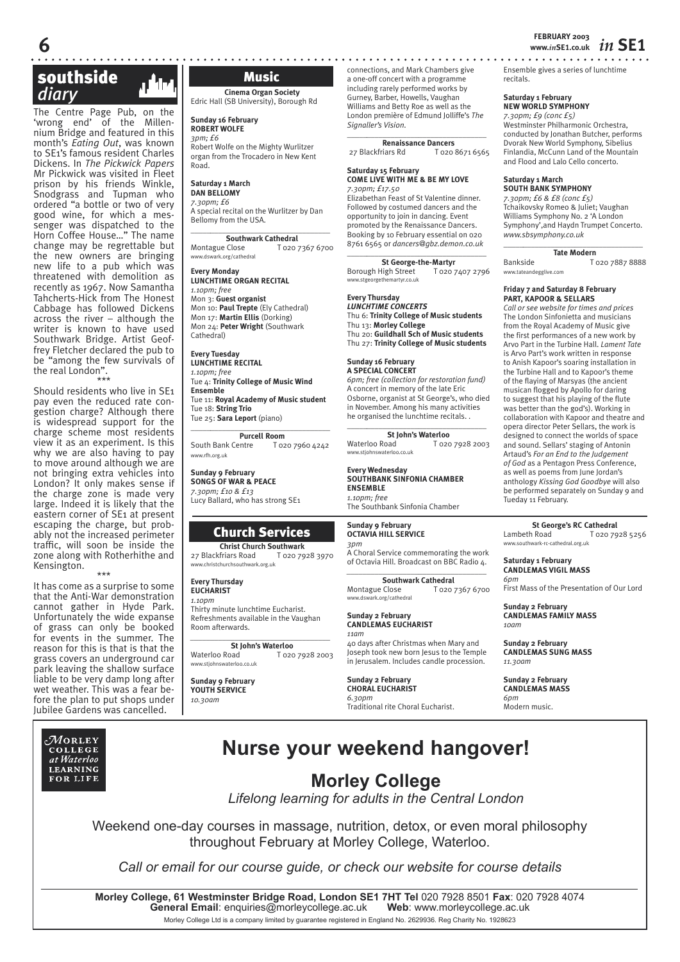# southside  *diary* c

The Centre Page Pub, on the 'wrong end' of the Millennium Bridge and featured in this month's *Eating Out*, was known to SE1's famous resident Charles Dickens. In *The Pickwick Papers* Mr Pickwick was visited in Fleet prison by his friends Winkle, Snodgrass and Tupman who ordered "a bottle or two of very good wine, for which a messenger was dispatched to the Horn Coffee House…" The name change may be regrettable but the new owners are bringing new life to a pub which was threatened with demolition as recently as 1967. Now Samantha Tahcherts-Hick from The Honest Cabbage has followed Dickens across the river – although the writer is known to have used Southwark Bridge. Artist Geoffrey Fletcher declared the pub to be "among the few survivals of the real London". \*\*\*

Should residents who live in SE1 pay even the reduced rate congestion charge? Although there is widespread support for the charge scheme most residents view it as an experiment. Is this why we are also having to pay to move around although we are not bringing extra vehicles into London? It only makes sense if the charge zone is made very large. Indeed it is likely that the eastern corner of SE1 at present escaping the charge, but probably not the increased perimeter traffic, will soon be inside the zone along with Rotherhithe and Kensington. \*\*\*

It has come as a surprise to some that the Anti-War demonstration cannot gather in Hyde Park. Unfortunately the wide expanse of grass can only be booked for events in the summer. The reason for this is that is that the grass covers an underground car park leaving the shallow surface liable to be very damp long after wet weather. This was a fear before the plan to put shops under Jubilee Gardens was cancelled.



# Music

**Cinema Organ Society** Edric Hall (SB University), Borough Rd

**Sunday 16 February ROBERT WOLFE** *3pm; £6*

Robert Wolfe on the Mighty Wurlitzer organ from the Trocadero in New Kent Road.

# **Saturday 1 March**

# **DAN BELLOMY** *7.30pm; £6*

A special recital on the Wurlitzer by Dan Bellomy from the USA.

\_\_\_\_\_*\_\_\_\_\_\_\_\_\_\_\_\_\_\_\_\_\_\_\_\_\_\_\_\_\_\_\_\_\_\_* **Southwark Cathedral**<br>**Montague Close T** 0201 T 020 7367 6700 www.dswark.org/cathedral

## **Every Monday**

**LUNCHTIME ORGAN RECITAL** *1.10pm; free* Mon 3: **Guest organist** Mon 10: **Paul Trepte** (Ely Cathedral) Mon 17: **Martin Ellis** (Dorking) Mon 24: **Peter Wright** (Southwark Cathedral)

**Every Tuesday**

# **LUNCHTIME RECITAL** *1.10pm; free*

Tue 4: **Trinity College of Music Wind Ensemble**

Tue 11: **Royal Academy of Music student** Tue 18: **String Trio** Tue 25: **Sara Leport** (piano)

# \_\_\_\_\_*\_\_\_\_\_\_\_\_\_\_\_\_\_\_\_\_\_\_\_\_\_\_\_\_\_\_\_\_\_\_*

**Purcell Room**<br> **F** 020 7960 4242 South Bank Centre www.rfh.org.uk

**Sunday 9 February SONGS OF WAR & PEACE** *7.30pm; £10 & £13* Lucy Ballard, who has strong SE1

# Church Services

**Christ Church Southwark**<br> **Chriars Road** T 020 7928 3970 27 Blackfriars Road w.christchurchsouthwark.org.uk

# **Every Thursday**

**EUCHARIST** *1.10pm* Thirty minute lunchtime Eucharist. Refreshments available in the Vaughan Room afterwards.

# *\_\_\_\_\_\_\_\_\_\_\_\_\_\_\_\_\_\_\_\_\_\_\_\_\_\_\_\_\_\_\_\_\_\_\_*  **St John's Waterloo**<br>Waterloo Road To2c

T 020 7928 2003 w.stiohnswaterloo.co.uk

**Sunday 9 February YOUTH SERVICE** *10.30am*

connections, and Mark Chambers give a one-off concert with a programme including rarely performed works by Gurney, Barber, Howells, Vaughan Williams and Betty Roe as well as the London première of Edmund Jolliffe's *The Signaller's Vision.* \_\_\_\_\_*\_\_\_\_\_\_\_\_\_\_\_\_\_\_\_\_\_\_\_\_\_\_\_\_\_\_\_\_\_\_*

**Renaissance Dancers** 27 Blackfriars Rd T 020 8671 6565

# **Saturday 15 February COME LIVE WITH ME & BE MY LOVE** *7.30pm; £17.50*

Elizabethan Feast of St Valentine dinner. Followed by costumed dancers and the opportunity to join in dancing. Event promoted by the Renaissance Dancers. Booking by 10 February essential on 020 8761 6565 or *dancers@gbz.demon.co.uk* \_\_\_\_\_*\_\_\_\_\_\_\_\_\_\_\_\_\_\_\_\_\_\_\_\_\_\_\_\_\_\_\_\_\_\_*

**St George-the-Martyr**<br>High Street T 020 7407 2796 Borough High Street w.stgeorgethemartyr.co.uk

### **Every Thursday** *LUNCHTIME CONCERTS*

Thu 6: **Trinity College of Music students** Thu 13: **Morley College** Thu 20: **Guildhall Sch of Music students** Thu 27: **Trinity College of Music students**

### **Sunday 16 February A SPECIAL CONCERT**

*6pm; free (collection for restoration fund)* A concert in memory of the late Eric Osborne, organist at St George's, who died in November. Among his many activities he organised the lunchtime recitals. . \_\_\_\_\_*\_\_\_\_\_\_\_\_\_\_\_\_\_\_\_\_\_\_\_\_\_\_\_\_\_\_\_\_\_\_*

**St John's Waterloo**<br>T o20 T O20 T 020 7928 2003 www.stjohnswaterloo.co.uk

## **Every Wednesday SOUTHBANK SINFONIA CHAMBER ENSEMBLE** *1.10pm; free*

The Southbank Sinfonia Chamber

## **Sunday 9 February OCTAVIA HILL SERVICE**

*3pm* A Choral Service commemorating the work of Octavia Hill. Broadcast on BBC Radio 4. *\_\_\_\_\_\_\_\_\_\_\_\_\_\_\_\_\_\_\_\_\_\_\_\_\_\_\_\_\_\_\_\_\_\_\_* 

**Southwark Cathedral** Montague Close T 020 7367 6700 www.dswark.org/cathedral

### **Sunday 2 February CANDLEMAS EUCHARIST** *11am*

40 days after Christmas when Mary and Joseph took new born Jesus to the Temple in Jerusalem. Includes candle procession.

### **Sunday 2 February CHORAL EUCHARIST** *6.30pm* Traditional rite Choral Eucharist.

Ensemble gives a series of lunchtime recitals.

# **Saturday 1 February**

**NEW WORLD SYMPHONY**

*7.30pm; £9 (conc £5)* Westminster Philharmonic Orchestra, conducted by Jonathan Butcher, performs Dvorak New World Symphony, Sibelius Finlandia, McCunn Land of the Mountain and Flood and Lalo Cello concerto.

# **Saturday 1 March SOUTH BANK SYMPHONY**

*7.30pm; £6 & £8 (conc £5)* Tchaikovsky Romeo & Juliet; Vaughan Williams Symphony No. 2 'A London Symphony',and Haydn Trumpet Concerto. *www.sbsymphony.co.uk*

# \_\_\_\_\_*\_\_\_\_\_\_\_\_\_\_\_\_\_\_\_\_\_\_\_\_\_\_\_\_\_\_\_\_\_\_* **Tate Modern**

Bankside T 020 7887 8888 www.tateandegglive.com

# **Friday 7 and Saturday 8 February PART, KAPOOR & SELLARS**

*Call or see website for times and prices* The London Sinfonietta and musicians from the Royal Academy of Music give the first performances of a new work by Arvo Part in the Turbine Hall. *Lament Tate*  is Arvo Part's work written in response to Anish Kapoor's soaring installation in the Turbine Hall and to Kapoor's theme of the flaying of Marsyas (the ancient musican flogged by Apollo for daring to suggest that his playing of the flute was better than the god's). Working in collaboration with Kapoor and theatre and opera director Peter Sellars, the work is designed to connect the worlds of space and sound. Sellars' staging of Antonin Artaud's *For an End to the Judgement of God* as a Pentagon Press Conference, as well as poems from June Jordan's anthology *Kissing God Goodbye* will also be performed separately on Sunday 9 and Tueday 11 February.

**St George's RC Cathedral**<br>**E** can be th Road **F** 020.79

T 020 7928 5256 www.southwark-rc-cathedral.org.uk

### **Saturday 1 February CANDLEMAS VIGIL MASS** *6pm*

First Mass of the Presentation of Our Lord

**Sunday 2 February CANDLEMAS FAMILY MASS** *10am*

**Sunday 2 February CANDLEMAS SUNG MASS** *11.30am*

**Sunday 2 February CANDLEMAS MASS** *6pm*  Modern music.

# **Nurse your weekend hangover!**

# **Morley College**

*Lifelong learning for adults in the Central London*

Weekend one-day courses in massage, nutrition, detox, or even moral philosophy throughout February at Morley College, Waterloo.

*Call or email for our course guide, or check our website for course details*

**Morley College, 61 Westminster Bridge Road, London SE1 7HT Tel** 020 7928 8501 **Fax**: 020 7928 4074 **General Email: enquiries@morleycollege.ac.uk** Morley College Ltd is a company limited by guarantee registered in England No. 2629936. Reg Charity No. 1928623

# **FEBRUARY 2003 6 www.***in***SE1.co.uk** *in* **SE1**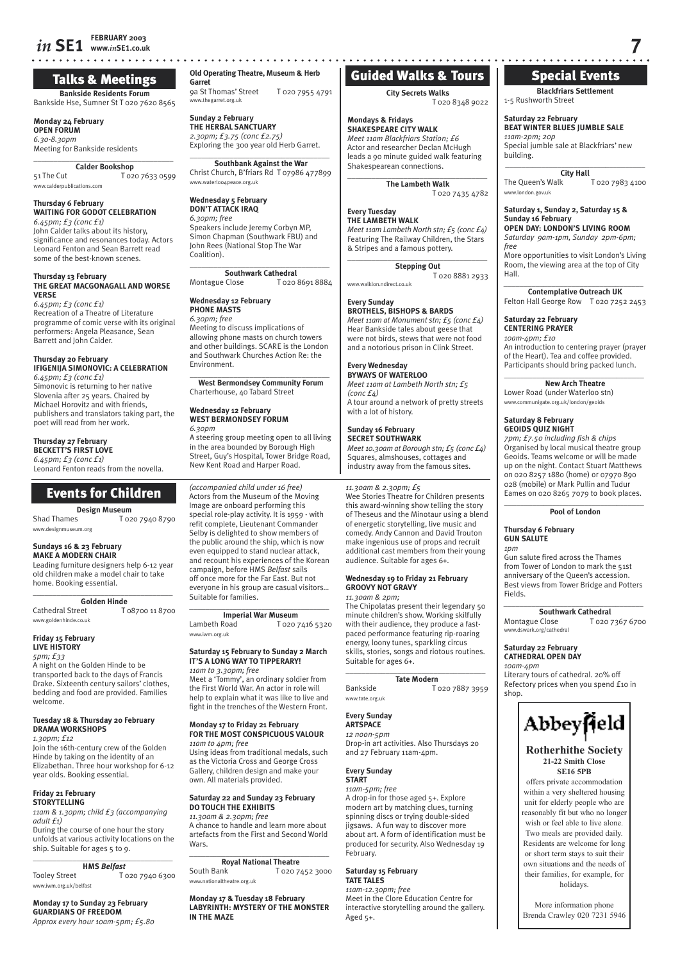# *in* **SE1** *FEBRUARY 2003 COMPONERY 2003* **www.***in***SE1.co.uk 7**

# Talks & Meetings

**Bankside Residents Forum** Bankside Hse, Sumner St T 020 7620 8565

**Monday 24 February OPEN FORUM** *6.30-8.30pm* Meeting for Bankside residents

### $\overline{\phantom{a}}$  , where  $\overline{\phantom{a}}$  , where  $\overline{\phantom{a}}$  , where  $\overline{\phantom{a}}$ **Calder Bookshop**

51 The Cut T 020 7633 0599 www.calderpublications.com

# **Thursday 6 February WAITING FOR GODOT CELEBRATION** *6.45pm; £3 (conc £1)*

John Calder talks about its history, significance and resonances today. Actors Leonard Fenton and Sean Barrett read some of the best-known scenes.

# **Thursday 13 February**

**THE GREAT MACGONAGALL AND WORSE VERSE**

*6.45pm; £3 (conc £1)* Recreation of a Theatre of Literature programme of comic verse with its original performers: Angela Pleasance, Sean Barrett and John Calder.

# **Thursday 20 February IFIGENIJA SIMONOVIC: A CELEBRATION**

*6.45pm; £3 (conc £1)* Simonovic is returning to her native Slovenia after 25 years. Chaired by Michael Horovitz and with friends, publishers and translators taking part, the poet will read from her work.

# **Thursday 27 February**

**BECKETT'S FIRST LOVE** *6.45pm; £3 (conc £1)* Leonard Fenton reads from the novella.

# Events for Children

**Design Museum**<br>To<sub>2</sub> T T 020 7940 8790 www.designmuseum.org

# **Sundays 16 & 23 February**

**MAKE A MODERN CHAIR** Leading furniture designers help 6-12 year old children make a model chair to take home. Booking essential.

 $\overline{\phantom{a}}$  , and the set of the set of the set of the set of the set of the set of the set of the set of the set of the set of the set of the set of the set of the set of the set of the set of the set of the set of the s **Golden Hinde**<br>Cathedral Street T T 08700 11 8700 www.goldenhinde.co.uk

# **Friday 15 February LIVE HISTORY**

*5pm; £33* A night on the Golden Hinde to be transported back to the days of Francis Drake. Sixteenth century sailors' clothes, bedding and food are provided. Families welcome.

# **Tuesday 18 & Thursday 20 February DRAMA WORKSHOPS**

*1.30pm; £12*  Join the 16th-century crew of the Golden Hinde by taking on the identity of an Elizabethan. Three hour workshop for 6-12 year olds. Booking essential.

## **Friday 21 February STORYTELLING**

*11am & 1.30pm; child £3 (accompanying adult £1)*  During the course of one hour the story unfolds at various activity locations on the ship. Suitable for ages 5 to 9.

### $\overline{\phantom{a}}$  , and the set of the set of the set of the set of the set of the set of the set of the set of the set of the set of the set of the set of the set of the set of the set of the set of the set of the set of the s **HMS** *Belfast*

Tooley Street T 020 7940 6300 www.iwm.org.uk/belfast

### **Monday 17 to Sunday 23 February GUARDIANS OF FREEDOM** *Approx every hour 10am-5pm; £5.80*

**Old Operating Theatre, Museum & Herb** 

**Garret** 9a St Thomas' Street T 020 7955 4791 ww.thegarret.org.uk

**Sunday 2 February THE HERBAL SANCTUARY** *2.30pm; £3.75 (conc £2.75)*

Exploring the 300 year old Herb Garret.  $\overline{\phantom{a}}$  , and the set of the set of the set of the set of the set of the set of the set of the set of the set of the set of the set of the set of the set of the set of the set of the set of the set of the set of the s **Southbank Against the War**

Christ Church, B'friars Rd T 07986 477899 www.waterloo4peace.org.uk

### **Wednesday 5 February DON'T ATTACK IRAQ** *6.30pm; free*

Speakers include Jeremy Corbyn MP, Simon Chapman (Southwark FBU) and John Rees (National Stop The War Coalition).

# $\overline{\phantom{a}}$  , and the set of the set of the set of the set of the set of the set of the set of the set of the set of the set of the set of the set of the set of the set of the set of the set of the set of the set of the s **Southwark Cathedral**<br>Montague Close T 020

T 020 8691 8884

# **Wednesday 12 February PHONE MASTS**

*6.30pm; free* Meeting to discuss implications of allowing phone masts on church towers and other buildings. SCARE is the London and Southwark Churches Action Re: the Environment.

 $\overline{\phantom{a}}$  , and the set of the set of the set of the set of the set of the set of the set of the set of the set of the set of the set of the set of the set of the set of the set of the set of the set of the set of the s **West Bermondsey Community Forum** Charterhouse, 40 Tabard Street

## **Wednesday 12 February WEST BERMONDSEY FORUM** *6.30pm*

A steering group meeting open to all living in the area bounded by Borough High Street, Guy's Hospital, Tower Bridge Road, New Kent Road and Harper Road.

*(accompanied child under 16 free)* Actors from the Museum of the Moving Image are onboard performing this special role-play activity. It is 1959 - with refit complete, Lieutenant Commander Selby is delighted to show members of the public around the ship, which is now even equipped to stand nuclear attack, and recount his experiences of the Korean campaign, before HMS *Belfast* sails off once more for the Far East. But not everyone in his group are casual visitors… Suitable for families.

# $\_$ **Imperial War Museum**<br>7 020 T

T 020 7416 5320 www.iwm.org.uk

### **Saturday 15 February to Sunday 2 March IT'S A LONG WAY TO TIPPERARY!** *11am to 3.30pm; free*

Meet a 'Tommy', an ordinary soldier from the First World War. An actor in role will help to explain what it was like to live and fight in the trenches of the Western Front.

# **Monday 17 to Friday 21 February FOR THE MOST CONSPICUOUS VALOUR**

*11am to 4pm; free* Using ideas from traditional medals, such as the Victoria Cross and George Cross Gallery, children design and make your own. All materials provided.

**Saturday 22 and Sunday 23 February DO TOUCH THE EXHIBITS**

# *11.30am & 2.30pm; free*

A chance to handle and learn more about artefacts from the First and Second World Wars.

\_\_\_\_\_\_\_\_\_\_\_\_\_\_\_\_\_\_\_\_\_\_\_\_\_\_\_\_\_\_\_\_\_\_\_ **Royal National Theatre**<br>**Routh Bank T** 020.7 T 020 7452 3000 www.nationaltheatre.org.uk

**Monday 17 & Tuesday 18 February LABYRINTH: MYSTERY OF THE MONSTER IN THE MAZE**

# Guided Walks & Tours

# **City Secrets Walks**

T 020 8348 9022

**Mondays & Fridays SHAKESPEARE CITY WALK** *Meet 11am Blackfriars Station; £6* Actor and researcher Declan McHugh leads a 90 minute guided walk featuring Shakespearean connections.

 $\overline{\phantom{a}}$  , and the set of the set of the set of the set of the set of the set of the set of the set of the set of the set of the set of the set of the set of the set of the set of the set of the set of the set of the s

**The Lambeth Walk** T 020 7435 4782

## **Every Tuesday THE LAMBETH WALK**

*Meet 11am Lambeth North stn; £5 (conc £4)* Featuring The Railway Children, the Stars & Stripes and a famous pottery.  $\overline{\phantom{a}}$  , and the set of the set of the set of the set of the set of the set of the set of the set of the set of the set of the set of the set of the set of the set of the set of the set of the set of the set of the s

**Stepping Out** T 020 8881 2933

# www.walklon.ndirect.co.uk

**Every Sunday**

# **BROTHELS, BISHOPS & BARDS** *Meet 11am at Monument stn; £5 (conc £4)* Hear Bankside tales about geese that

were not hirds, stews that were not food and a notorious prison in Clink Street.

### **Every Wednesday BYWAYS OF WATERLOO**

*Meet 11am at Lambeth North stn; £5 (conc £4)* A tour around a network of pretty streets with a lot of history.

# **Sunday 16 February**

**SECRET SOUTHWARK** *Meet 10.30am at Borough stn; £5 (conc £4)* Squares, almshouses, cottages and industry away from the famous sites.

# *11.30am & 2.30pm; £5*

Wee Stories Theatre for Children presents this award-winning show telling the story of Theseus and the Minotaur using a blend of energetic storytelling, live music and comedy. Andy Cannon and David Trouton make ingenious use of props and recruit additional cast members from their young audience. Suitable for ages 6+.

# **Wednesday 19 to Friday 21 February GROOVY NOT GRAVY**

# *11.30am & 2pm;*

The Chipolatas present their legendary 50 minute children's show. Working skilfully with their audience, they produce a fastpaced performance featuring rip-roaring energy, loony tunes, sparkling circus skills, stories, songs and riotous routines. Suitable for ages 6+.

### $\overline{\phantom{a}}$  , and the set of the set of the set of the set of the set of the set of the set of the set of the set of the set of the set of the set of the set of the set of the set of the set of the set of the set of the s **Tate Modern**

Bankside T 020 7887 3959 www.tate.org.uk

# **Every Sunday**

**ARTSPACE** *12 noon-5pm*

Drop-in art activities. Also Thursdays 20 and 27 February 11am-4pm.

# **Every Sunday**

**START** *11am-5pm; free* A drop-in for those aged 5+. Explore modern art by matching clues, turning spinning discs or trying double-sided jigsaws. A fun way to discover more about art. A form of identification must be produced for security. Also Wednesday 19 February.

# **Saturday 15 February**

**TATE TALES** *11am-12.30pm; free* Meet in the Clore Education Centre for interactive storytelling around the gallery. Aged 5+.

# Special Events

**Blackfriars Settlement** 1-5 Rushworth Street

## **Saturday 22 February BEAT WINTER BLUES JUMBLE SALE**

*11am-2pm; 20p* Special jumble sale at Blackfriars' new building. **\_\_\_\_\_\_\_\_\_\_\_\_\_\_\_\_\_\_\_\_\_\_\_\_\_\_\_\_\_\_\_\_\_\_\_**

**City Hall** The Queen's Walk T 020 7983 4100 www.london.gov.uk

# **Saturday 1, Sunday 2, Saturday 15 & Sunday 16 February**

**OPEN DAY: LONDON'S LIVING ROOM** *Saturday 9am-1pm, Sunday 2pm-6pm; free*

More opportunities to visit London's Living Room, the viewing area at the top of City Hall. *\_\_\_\_\_\_\_\_\_\_\_\_\_\_\_\_\_\_\_\_\_\_\_\_\_\_\_\_\_\_\_\_\_\_\_* 

**Contemplative Outreach UK** Felton Hall George Row T 020 7252 2453

# **Saturday 22 February CENTERING PRAYER**

**Saturday 8 February GEOIDS QUIZ NIGHT**

**Thursday 6 February GUN SALUTE** *1pm*

www.dswark.org/cathedral **Saturday 22 February CATHEDRAL OPEN DAY**

*10am-4pm*

shop.

Fields.

*10am-4pm; £10* An introduction to centering prayer (prayer of the Heart). Tea and coffee provided. Participants should bring packed lunch.

### **\_\_\_\_\_\_\_\_\_\_\_\_\_\_\_\_\_\_\_\_\_\_\_\_\_\_\_\_\_\_\_\_\_\_\_ New Arch Theatre**

Lower Road (under Waterloo stn) www.communigate.org.uk/london/geoids

*7pm; £7.50 including fish & chips* Organised by local musical theatre group Geoids. Teams welcome or will be made up on the night. Contact Stuart Matthews on 020 8257 1880 (home) or 07970 890 028 (mobile) or Mark Pullin and Tudur Eames on 020 8265 7079 to book places. **\_\_\_\_\_\_\_\_\_\_\_\_\_\_\_\_\_\_\_\_\_\_\_\_\_\_\_\_\_\_\_\_\_\_\_ Pool of London**

Gun salute fired across the Thames from Tower of London to mark the 51st anniversary of the Queen's accession. Best views from Tower Bridge and Potters

Literary tours of cathedral. 20% off Refectory prices when you spend £10 in

> **Rotherhithe Society 21-22 Smith Close SE16 5PB** offers private accommodation within a very sheltered housing unit for elderly people who are reasonably fit but who no longer wish or feel able to live alone. Two meals are provided daily. Residents are welcome for long or short term stays to suit their own situations and the needs of their families, for example, for holidays. More information phone Brenda Crawley 020 7231 5946

Abbeyfield

*\_\_\_\_\_\_\_\_\_\_\_\_\_\_\_\_\_\_\_\_\_\_\_\_\_\_\_\_\_\_\_\_\_\_\_*  **Southwark Cathedral**<br>7 020

T 020 7367 6700